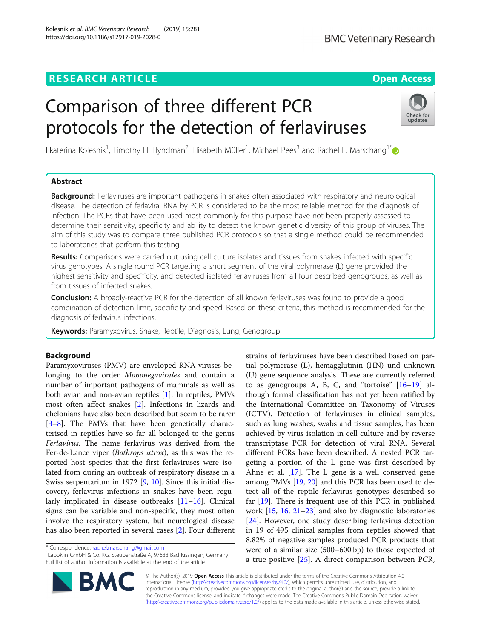# **RESEARCH ARTICLE Example 2014 12:30 The Open Access**

# Comparison of three different PCR protocols for the detection of ferlaviruses

Ekaterina Kolesnik<sup>1</sup>, Timothy H. Hyndman<sup>2</sup>, Elisabeth Müller<sup>1</sup>, Michael Pees<sup>3</sup> and Rachel E. Marschang<sup>1\*</sup>

# Abstract

**Background:** Ferlaviruses are important pathogens in snakes often associated with respiratory and neurological disease. The detection of ferlaviral RNA by PCR is considered to be the most reliable method for the diagnosis of infection. The PCRs that have been used most commonly for this purpose have not been properly assessed to determine their sensitivity, specificity and ability to detect the known genetic diversity of this group of viruses. The aim of this study was to compare three published PCR protocols so that a single method could be recommended to laboratories that perform this testing.

Results: Comparisons were carried out using cell culture isolates and tissues from snakes infected with specific virus genotypes. A single round PCR targeting a short segment of the viral polymerase (L) gene provided the highest sensitivity and specificity, and detected isolated ferlaviruses from all four described genogroups, as well as from tissues of infected snakes.

**Conclusion:** A broadly-reactive PCR for the detection of all known ferlaviruses was found to provide a good combination of detection limit, specificity and speed. Based on these criteria, this method is recommended for the diagnosis of ferlavirus infections.

Keywords: Paramyxovirus, Snake, Reptile, Diagnosis, Lung, Genogroup

# Background

Paramyxoviruses (PMV) are enveloped RNA viruses belonging to the order Mononegavirales and contain a number of important pathogens of mammals as well as both avian and non-avian reptiles [[1\]](#page-7-0). In reptiles, PMVs most often affect snakes [\[2](#page-7-0)]. Infections in lizards and chelonians have also been described but seem to be rarer [[3](#page-7-0)–[8\]](#page-7-0). The PMVs that have been genetically characterised in reptiles have so far all belonged to the genus Ferlavirus. The name ferlavirus was derived from the Fer-de-Lance viper (Bothrops atrox), as this was the reported host species that the first ferlaviruses were isolated from during an outbreak of respiratory disease in a Swiss serpentarium in 1972 [[9,](#page-7-0) [10](#page-7-0)]. Since this initial discovery, ferlavirus infections in snakes have been regularly implicated in disease outbreaks [\[11](#page-7-0)–[16\]](#page-7-0). Clinical signs can be variable and non-specific, they most often involve the respiratory system, but neurological disease has also been reported in several cases [[2\]](#page-7-0). Four different

\* Correspondence: [rachel.marschang@gmail.com](mailto:rachel.marschang@gmail.com) <sup>1</sup>

<sup>1</sup> Laboklin GmbH & Co. KG, Steubenstraße 4, 97688 Bad Kissingen, Germany Full list of author information is available at the end of the article

> © The Author(s). 2019 Open Access This article is distributed under the terms of the Creative Commons Attribution 4.0 International License [\(http://creativecommons.org/licenses/by/4.0/](http://creativecommons.org/licenses/by/4.0/)), which permits unrestricted use, distribution, and reproduction in any medium, provided you give appropriate credit to the original author(s) and the source, provide a link to the Creative Commons license, and indicate if changes were made. The Creative Commons Public Domain Dedication waiver [\(http://creativecommons.org/publicdomain/zero/1.0/](http://creativecommons.org/publicdomain/zero/1.0/)) applies to the data made available in this article, unless otherwise stated.

tial polymerase (L), hemagglutinin (HN) und unknown (U) gene sequence analysis. These are currently referred to as genogroups A, B, C, and "tortoise" [\[16](#page-7-0)–[19\]](#page-7-0) although formal classification has not yet been ratified by the International Committee on Taxonomy of Viruses (ICTV). Detection of ferlaviruses in clinical samples, such as lung washes, swabs and tissue samples, has been achieved by virus isolation in cell culture and by reverse transcriptase PCR for detection of viral RNA. Several different PCRs have been described. A nested PCR targeting a portion of the L gene was first described by Ahne et al. [[17\]](#page-7-0). The L gene is a well conserved gene among PMVs [[19,](#page-7-0) [20\]](#page-7-0) and this PCR has been used to detect all of the reptile ferlavirus genotypes described so far [[19](#page-7-0)]. There is frequent use of this PCR in published work [[15,](#page-7-0) [16](#page-7-0), [21](#page-7-0)–[23](#page-7-0)] and also by diagnostic laboratories [[24\]](#page-7-0). However, one study describing ferlavirus detection in 19 of 495 clinical samples from reptiles showed that 8.82% of negative samples produced PCR products that were of a similar size (500–600 bp) to those expected of a true positive [[25](#page-7-0)]. A direct comparison between PCR,

strains of ferlaviruses have been described based on par-





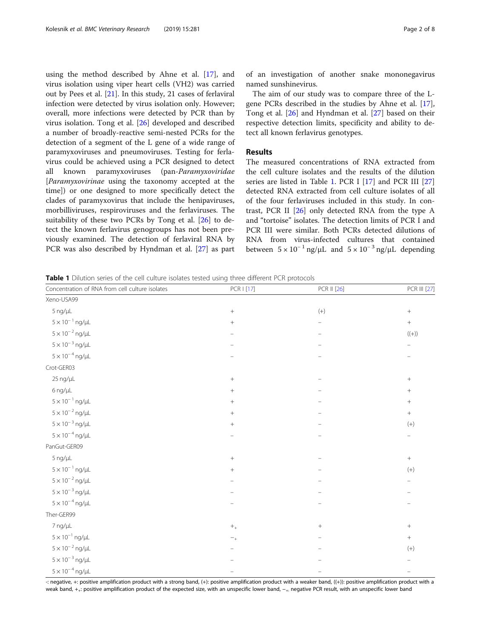<span id="page-1-0"></span>using the method described by Ahne et al. [\[17\]](#page-7-0), and virus isolation using viper heart cells (VH2) was carried out by Pees et al. [[21](#page-7-0)]. In this study, 21 cases of ferlaviral infection were detected by virus isolation only. However; overall, more infections were detected by PCR than by virus isolation. Tong et al. [\[26](#page-7-0)] developed and described a number of broadly-reactive semi-nested PCRs for the detection of a segment of the L gene of a wide range of paramyxoviruses and pneumoviruses. Testing for ferlavirus could be achieved using a PCR designed to detect all known paramyxoviruses (pan-Paramyxoviridae [Paramyxovirinae using the taxonomy accepted at the time]) or one designed to more specifically detect the clades of paramyxovirus that include the henipaviruses, morbilliviruses, respiroviruses and the ferlaviruses. The suitability of these two PCRs by Tong et al. [\[26](#page-7-0)] to detect the known ferlavirus genogroups has not been previously examined. The detection of ferlaviral RNA by PCR was also described by Hyndman et al. [\[27](#page-7-0)] as part of an investigation of another snake mononegavirus named sunshinevirus.

The aim of our study was to compare three of the Lgene PCRs described in the studies by Ahne et al. [\[17](#page-7-0)], Tong et al. [[26\]](#page-7-0) and Hyndman et al. [[27](#page-7-0)] based on their respective detection limits, specificity and ability to detect all known ferlavirus genotypes.

# Results

The measured concentrations of RNA extracted from the cell culture isolates and the results of the dilution series are listed in Table 1. PCR I [[17\]](#page-7-0) and PCR III [[27](#page-7-0)] detected RNA extracted from cell culture isolates of all of the four ferlaviruses included in this study. In contrast, PCR II [\[26](#page-7-0)] only detected RNA from the type A and "tortoise" isolates. The detection limits of PCR I and PCR III were similar. Both PCRs detected dilutions of RNA from virus-infected cultures that contained between  $5 \times 10^{-1}$  ng/ $\mu$ L and  $5 \times 10^{-3}$  ng/ $\mu$ L depending

Table 1 Dilution series of the cell culture isolates tested using three different PCR protocols

| Concentration of RNA from cell culture isolates | PCR I [17]       | <b>PCR II [26]</b> | <b>PCR III [27]</b>              |
|-------------------------------------------------|------------------|--------------------|----------------------------------|
| Xeno-USA99                                      |                  |                    |                                  |
| $5 \nlog/\mu L$                                 | $\! +$           | $\left( +\right)$  | $+$                              |
| $5 \times 10^{-1}$ ng/µL                        |                  |                    | $\! +$                           |
| $5 \times 10^{-2}$ ng/µL                        |                  |                    | $\left( \left( +\right) \right)$ |
| $5\times10^{-3}$ ng/µL                          |                  |                    |                                  |
| $5\times10^{-4}\,\mathrm{ng/}\mu\mathrm{L}$     |                  |                    |                                  |
| Crot-GER03                                      |                  |                    |                                  |
| $25 \text{ ng/}\mu L$                           | $^{+}$           |                    | $^{+}$                           |
| $6$ ng/ $\mu$ L                                 | $\! + \!$        |                    | $^{+}$                           |
| $5 \times 10^{-1}$ ng/µL                        | $^{+}$           |                    | $+$                              |
| $5 \times 10^{-2}$ ng/µL                        | $^{+}$           |                    | $^{+}$                           |
| $5 \times 10^{-3}$ ng/µL                        | $^{+}$           |                    | $(+)$                            |
| $5\times10^{-4}$ ng/µL                          |                  |                    |                                  |
| PanGut-GER09                                    |                  |                    |                                  |
| $5$ ng/ $\mu$ L                                 |                  |                    | $+$                              |
| $5\times10^{-1}\,\mathrm{ng}/\mathrm{\mu L}$    | $^{+}$           |                    | $(+)$                            |
| $5\times10^{-2}\,\mathrm{ng/}\mu\mathrm{L}$     |                  |                    |                                  |
| $5 \times 10^{-3}$ ng/µL                        |                  |                    |                                  |
| $5\times10^{-4}\,\mathrm{ng/}\mu\mathrm{L}$     |                  |                    |                                  |
| Ther-GER99                                      |                  |                    |                                  |
| 7 ng/µL                                         | $+$ <sub>+</sub> |                    | $+$                              |
| $5 \times 10^{-1}$ ng/µL                        | $^{-}$ +         |                    | $+$                              |
| $5 \times 10^{-2}$ ng/µL                        |                  |                    | $(+)$                            |
| $5\times10^{-3}\,\mathrm{ng}/\mathrm{\mu L}$    |                  |                    |                                  |
| $5 \times 10^{-4}$ ng/µL                        |                  |                    |                                  |

-: negative, +: positive amplification product with a strong band, (+): positive amplification product with a weaker band, ((+)): positive amplification product with a weak band, +<sub>+</sub>: positive amplification product of the expected size, with an unspecific lower band, −<sub>+:</sub> negative PCR result, with an unspecific lower band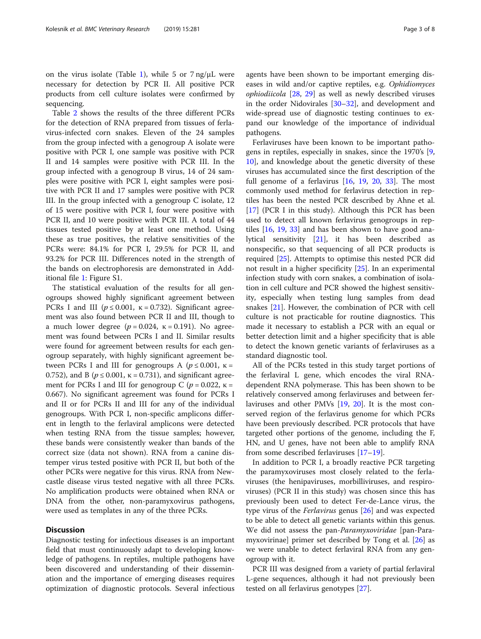on the virus isolate (Table [1\)](#page-1-0), while 5 or  $7 \text{ ng}/\mu\text{L}$  were necessary for detection by PCR II. All positive PCR products from cell culture isolates were confirmed by

sequencing. Table [2](#page-3-0) shows the results of the three different PCRs for the detection of RNA prepared from tissues of ferlavirus-infected corn snakes. Eleven of the 24 samples from the group infected with a genogroup A isolate were positive with PCR I, one sample was positive with PCR II and 14 samples were positive with PCR III. In the group infected with a genogroup B virus, 14 of 24 samples were positive with PCR I, eight samples were positive with PCR II and 17 samples were positive with PCR III. In the group infected with a genogroup C isolate, 12 of 15 were positive with PCR I, four were positive with PCR II, and 10 were positive with PCR III. A total of 44 tissues tested positive by at least one method. Using these as true positives, the relative sensitivities of the PCRs were: 84.1% for PCR I, 29.5% for PCR II, and 93.2% for PCR III. Differences noted in the strength of the bands on electrophoresis are demonstrated in Additional file [1:](#page-6-0) Figure S1.

The statistical evaluation of the results for all genogroups showed highly significant agreement between PCRs I and III ( $p \le 0.001$ ,  $\kappa = 0.732$ ). Significant agreement was also found between PCR II and III, though to a much lower degree ( $p = 0.024$ ,  $\kappa = 0.191$ ). No agreement was found between PCRs I and II. Similar results were found for agreement between results for each genogroup separately, with highly significant agreement between PCRs I and III for genogroups A ( $p \le 0.001$ ,  $\kappa =$ 0.752), and B ( $p \le 0.001$ ,  $\kappa = 0.731$ ), and significant agreement for PCRs I and III for genogroup C ( $p = 0.022$ ,  $\kappa =$ 0.667). No significant agreement was found for PCRs I and II or for PCRs II and III for any of the individual genogroups. With PCR I, non-specific amplicons different in length to the ferlaviral amplicons were detected when testing RNA from the tissue samples; however, these bands were consistently weaker than bands of the correct size (data not shown). RNA from a canine distemper virus tested positive with PCR II, but both of the other PCRs were negative for this virus. RNA from Newcastle disease virus tested negative with all three PCRs. No amplification products were obtained when RNA or DNA from the other, non-paramyxovirus pathogens, were used as templates in any of the three PCRs.

# **Discussion**

Diagnostic testing for infectious diseases is an important field that must continuously adapt to developing knowledge of pathogens. In reptiles, multiple pathogens have been discovered and understanding of their dissemination and the importance of emerging diseases requires optimization of diagnostic protocols. Several infectious agents have been shown to be important emerging diseases in wild and/or captive reptiles, e.g. Ophidiomyces ophiodiicola [[28,](#page-7-0) [29\]](#page-7-0) as well as newly described viruses in the order Nidovirales [[30](#page-7-0)–[32\]](#page-7-0), and development and wide-spread use of diagnostic testing continues to expand our knowledge of the importance of individual pathogens.

Ferlaviruses have been known to be important pathogens in reptiles, especially in snakes, since the 1970's [\[9](#page-7-0), [10\]](#page-7-0), and knowledge about the genetic diversity of these viruses has accumulated since the first description of the full genome of a ferlavirus [\[16](#page-7-0), [19,](#page-7-0) [20,](#page-7-0) [33](#page-7-0)]. The most commonly used method for ferlavirus detection in reptiles has been the nested PCR described by Ahne et al. [[17\]](#page-7-0) (PCR I in this study). Although this PCR has been used to detect all known ferlavirus genogroups in reptiles  $[16, 19, 33]$  $[16, 19, 33]$  $[16, 19, 33]$  $[16, 19, 33]$  $[16, 19, 33]$  $[16, 19, 33]$  and has been shown to have good analytical sensitivity [[21\]](#page-7-0), it has been described as nonspecific, so that sequencing of all PCR products is required [[25\]](#page-7-0). Attempts to optimise this nested PCR did not result in a higher specificity [\[25](#page-7-0)]. In an experimental infection study with corn snakes, a combination of isolation in cell culture and PCR showed the highest sensitivity, especially when testing lung samples from dead snakes [\[21\]](#page-7-0). However, the combination of PCR with cell culture is not practicable for routine diagnostics. This made it necessary to establish a PCR with an equal or better detection limit and a higher specificity that is able to detect the known genetic variants of ferlaviruses as a standard diagnostic tool.

All of the PCRs tested in this study target portions of the ferlaviral L gene, which encodes the viral RNAdependent RNA polymerase. This has been shown to be relatively conserved among ferlaviruses and between ferlaviruses and other PMVs [\[19,](#page-7-0) [20](#page-7-0)]. It is the most conserved region of the ferlavirus genome for which PCRs have been previously described. PCR protocols that have targeted other portions of the genome, including the F, HN, and U genes, have not been able to amplify RNA from some described ferlaviruses [[17](#page-7-0)–[19](#page-7-0)].

In addition to PCR I, a broadly reactive PCR targeting the paramyxoviruses most closely related to the ferlaviruses (the henipaviruses, morbilliviruses, and respiroviruses) (PCR II in this study) was chosen since this has previously been used to detect Fer-de-Lance virus, the type virus of the Ferlavirus genus [[26](#page-7-0)] and was expected to be able to detect all genetic variants within this genus. We did not assess the pan-*Paramyxoviridae* [pan-Paramyxovirinae] primer set described by Tong et al. [[26\]](#page-7-0) as we were unable to detect ferlaviral RNA from any genogroup with it.

PCR III was designed from a variety of partial ferlaviral L-gene sequences, although it had not previously been tested on all ferlavirus genotypes [[27\]](#page-7-0).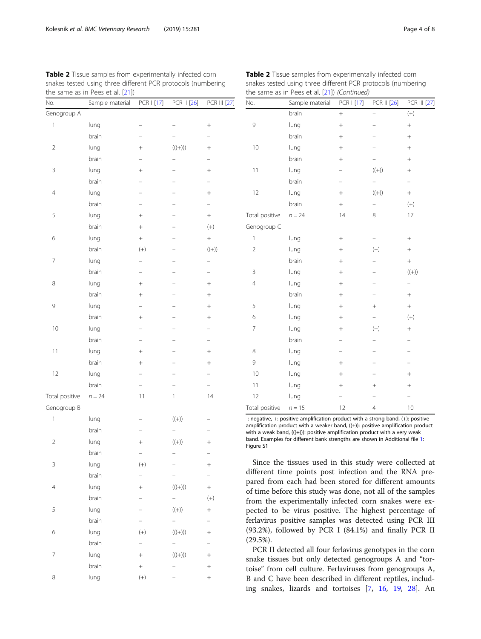<span id="page-3-0"></span>

Table 2 Tissue samples from experimentally infected corn snakes tested using three different PCR protocols (numbering the same as in Pees et al. [\[21](#page-7-0)])

| No.            | Sample material | PCR   [17]        | PCR II [26]                      | <b>PCR III [27]</b>      |
|----------------|-----------------|-------------------|----------------------------------|--------------------------|
| Genogroup A    |                 |                   |                                  |                          |
| 1              | lung            | -                 |                                  | $\! + \!\!\!\!$          |
|                | brain           |                   |                                  |                          |
| $\overline{2}$ | lung            |                   | $(((+)))$                        | $\! + \!$                |
|                | brain           | -                 |                                  | -                        |
| 3              | lung            | $^{+}$            |                                  | $\! + \!$                |
|                | brain           |                   |                                  |                          |
| $\overline{4}$ | lung            |                   |                                  | $\! + \!$                |
|                | brain           |                   |                                  |                          |
| 5              | lung            | $^{+}$            | $\overline{\phantom{0}}$         | $\boldsymbol{+}$         |
|                | brain           | $^{+}$            |                                  | $(+)$                    |
| 6              | lung            | $\ddot{}$         |                                  | $\boldsymbol{+}$         |
|                | brain           | $(+)$             |                                  | $((+) )$                 |
| $\overline{7}$ | lung            | -                 |                                  |                          |
|                | brain           |                   |                                  |                          |
| 8              | lung            | $^{+}$            | $\overline{\phantom{0}}$         | $+$                      |
|                | brain           | $\! + \!$         |                                  | $\! + \!$                |
| 9              | lung            |                   |                                  | $\! + \!$                |
|                | brain           | $^{+}$            |                                  | $^{+}$                   |
| 10             | lung            |                   |                                  |                          |
|                | brain           |                   |                                  |                          |
| 11             | lung            | $^{+}$            | $\overline{\phantom{0}}$         | $\! + \!$                |
|                | brain           | $\! + \!$         |                                  | $\! + \!$                |
| 12             | lung            |                   |                                  |                          |
|                | brain           | -                 | $\overline{\phantom{0}}$         | $\overline{\phantom{0}}$ |
| Total positive | $n = 24$        | 11                | $\mathbf{1}$                     | 14                       |
| Genogroup B    |                 |                   |                                  |                          |
| $\,1$          | lung            | -                 | $\left( \left( +\right) \right)$ |                          |
|                | brain           |                   |                                  |                          |
| $\overline{c}$ | lung            | $^{+}$            | $((+) )$                         | $\! + \!$                |
|                | brain           |                   | $\overline{\phantom{0}}$         |                          |
| 3              | lung            | $\left( +\right)$ | -                                | $^{+}$                   |
|                | brain           |                   |                                  |                          |
| $\overline{4}$ | lung            | $^{+}$            | $(((+)))$                        | $^{+}$                   |
|                | brain           |                   | $\overline{\phantom{0}}$         | $\left( +\right)$        |
| 5              | lung            |                   | $\left( \left( +\right) \right)$ | $\boldsymbol{+}$         |
|                | brain           |                   |                                  | -                        |
| 6              | lung            | $\left( +\right)$ | $(((+)))$                        | $^{+}$                   |
|                | brain           |                   | $\overline{a}$                   |                          |
| 7              | lung            | $^{+}$            | $(((+)))$                        | $^{+}$                   |
|                | brain           | $\! +$            |                                  | $^{+}$                   |
| 8              | lung            | $\left( +\right)$ |                                  | $^+$                     |

| Genogroup C                                                                                                                                                                                                                                        |          |        |        |          |
|----------------------------------------------------------------------------------------------------------------------------------------------------------------------------------------------------------------------------------------------------|----------|--------|--------|----------|
| 1                                                                                                                                                                                                                                                  | lung     | $^{+}$ |        | $^{+}$   |
| 2                                                                                                                                                                                                                                                  | lung     | $^{+}$ | $(+)$  | $^{+}$   |
|                                                                                                                                                                                                                                                    | brain    | $^{+}$ |        | $+$      |
| 3                                                                                                                                                                                                                                                  | lung     | $^{+}$ |        | $((+)$   |
| $\overline{4}$                                                                                                                                                                                                                                     | lung     | $^{+}$ |        |          |
|                                                                                                                                                                                                                                                    | brain    | $^{+}$ |        | $^{+}$   |
| 5                                                                                                                                                                                                                                                  | lung     | $^{+}$ | $^{+}$ | $^{+}$   |
| 6                                                                                                                                                                                                                                                  | lung     | $^{+}$ |        | $^{(+)}$ |
| 7                                                                                                                                                                                                                                                  | lung     | $^{+}$ | $(+)$  | $^{+}$   |
|                                                                                                                                                                                                                                                    | brain    |        |        |          |
| 8                                                                                                                                                                                                                                                  | lung     |        |        |          |
| 9                                                                                                                                                                                                                                                  | lung     | $^{+}$ |        |          |
| 10                                                                                                                                                                                                                                                 | lung     | $^{+}$ |        | $^{+}$   |
| 11                                                                                                                                                                                                                                                 | lung     | $^{+}$ | $^{+}$ | $+$      |
| 12                                                                                                                                                                                                                                                 | lung     |        |        |          |
| Total positive                                                                                                                                                                                                                                     | $n = 15$ | 12     | 4      | 10       |
| -: negative, +: positive amplification product with a strong band, (+): positive<br>amplification product with a weaker band, ((+)): positive amplification produc<br>with a weak band $((\pm))$ ; nositive amplification product with a very weak |          |        |        |          |

amplification product with a weaker band, ((+)): positive amplification product with a weak band, (((+))): positive amplification product with a very weak band. Examples for different bank strengths are shown in Additional file [1:](#page-6-0) Figure S1

Since the tissues used in this study were collected at different time points post infection and the RNA prepared from each had been stored for different amounts of time before this study was done, not all of the samples from the experimentally infected corn snakes were expected to be virus positive. The highest percentage of ferlavirus positive samples was detected using PCR III (93.2%), followed by PCR I (84.1%) and finally PCR II (29.5%).

PCR II detected all four ferlavirus genotypes in the corn snake tissues but only detected genogroups A and "tortoise" from cell culture. Ferlaviruses from genogroups A, B and C have been described in different reptiles, including snakes, lizards and tortoises [\[7](#page-7-0), [16](#page-7-0), [19,](#page-7-0) [28\]](#page-7-0). An

Table 2 Tissue samples from experimentally infected corn snakes tested using three different PCR protocols (numbering the same as in Pees et al. [\[21](#page-6-0)]) (Continued)

9 lung + – +

10 lung + – +

11 lung – ((+)) +

12 lung + ((+)) +

Total positive  $n = 24$  14 8 17

No. Sample material PCR I [\[17\]](#page-7-0) PCR II [\[26\]](#page-7-0) PCR III [[27](#page-7-0)]

brain  $+$   $(+)$ 

brain  $+$  –  $+$ 

brain  $+$   $+$ 

brain – – – –

brain  $+$   $(+)$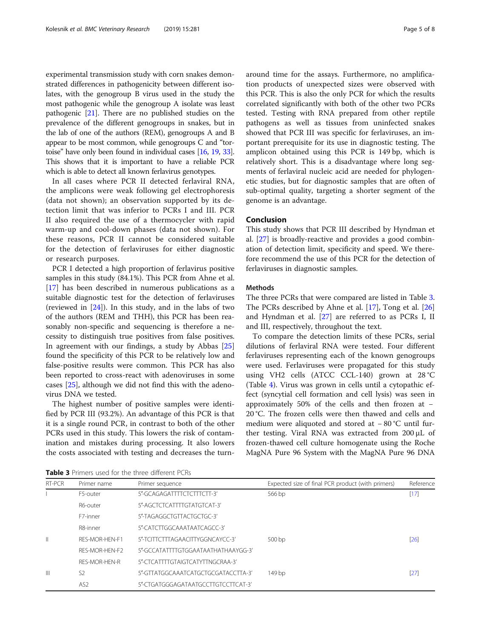experimental transmission study with corn snakes demonstrated differences in pathogenicity between different isolates, with the genogroup B virus used in the study the most pathogenic while the genogroup A isolate was least pathogenic [\[21\]](#page-7-0). There are no published studies on the prevalence of the different genogroups in snakes, but in the lab of one of the authors (REM), genogroups A and B appear to be most common, while genogroups C and "tortoise" have only been found in individual cases [\[16,](#page-7-0) [19,](#page-7-0) [33](#page-7-0)]. This shows that it is important to have a reliable PCR which is able to detect all known ferlavirus genotypes.

In all cases where PCR II detected ferlaviral RNA, the amplicons were weak following gel electrophoresis (data not shown); an observation supported by its detection limit that was inferior to PCRs I and III. PCR II also required the use of a thermocycler with rapid warm-up and cool-down phases (data not shown). For these reasons, PCR II cannot be considered suitable for the detection of ferlaviruses for either diagnostic or research purposes.

PCR I detected a high proportion of ferlavirus positive samples in this study (84.1%). This PCR from Ahne et al. [[17\]](#page-7-0) has been described in numerous publications as a suitable diagnostic test for the detection of ferlaviruses (reviewed in [[24\]](#page-7-0)). In this study, and in the labs of two of the authors (REM and THH), this PCR has been reasonably non-specific and sequencing is therefore a necessity to distinguish true positives from false positives. In agreement with our findings, a study by Abbas [[25](#page-7-0)] found the specificity of this PCR to be relatively low and false-positive results were common. This PCR has also been reported to cross-react with adenoviruses in some cases [[25\]](#page-7-0), although we did not find this with the adenovirus DNA we tested.

The highest number of positive samples were identified by PCR III (93.2%). An advantage of this PCR is that it is a single round PCR, in contrast to both of the other PCRs used in this study. This lowers the risk of contamination and mistakes during processing. It also lowers the costs associated with testing and decreases the turnaround time for the assays. Furthermore, no amplification products of unexpected sizes were observed with this PCR. This is also the only PCR for which the results correlated significantly with both of the other two PCRs tested. Testing with RNA prepared from other reptile pathogens as well as tissues from uninfected snakes showed that PCR III was specific for ferlaviruses, an important prerequisite for its use in diagnostic testing. The amplicon obtained using this PCR is 149 bp, which is relatively short. This is a disadvantage where long segments of ferlaviral nucleic acid are needed for phylogenetic studies, but for diagnostic samples that are often of sub-optimal quality, targeting a shorter segment of the genome is an advantage.

# Conclusion

This study shows that PCR III described by Hyndman et al. [[27](#page-7-0)] is broadly-reactive and provides a good combination of detection limit, specificity and speed. We therefore recommend the use of this PCR for the detection of ferlaviruses in diagnostic samples.

# Methods

The three PCRs that were compared are listed in Table 3. The PCRs described by Ahne et al. [\[17](#page-7-0)], Tong et al. [[26](#page-7-0)] and Hyndman et al. [\[27](#page-7-0)] are referred to as PCRs I, II and III, respectively, throughout the text.

To compare the detection limits of these PCRs, serial dilutions of ferlaviral RNA were tested. Four different ferlaviruses representing each of the known genogroups were used. Ferlaviruses were propagated for this study using VH2 cells (ATCC CCL-140) grown at 28 °C (Table [4](#page-5-0)). Virus was grown in cells until a cytopathic effect (syncytial cell formation and cell lysis) was seen in approximately 50% of the cells and then frozen at − 20 °C. The frozen cells were then thawed and cells and medium were aliquoted and stored at − 80 °C until further testing. Viral RNA was extracted from 200 μL of frozen-thawed cell culture homogenate using the Roche MagNA Pure 96 System with the MagNA Pure 96 DNA

Table 3 Primers used for the three different PCRs

| RT-PCR       | Primer name     | Primer sequence                     | Expected size of final PCR product (with primers) | Reference |
|--------------|-----------------|-------------------------------------|---------------------------------------------------|-----------|
|              | F5-outer        | 5'-GCAGAGATTTTCTCTTTCTT-3'          | 566 bp                                            | [17       |
|              | R6-outer        | 5'-AGCTCTCATTTTGTATGTCAT-3'         |                                                   |           |
|              | F7-inner        | 5'-TAGAGGCTGTTACTGCTGC-3'           |                                                   |           |
|              | R8-inner        | 5'-CATCTTGGCAAATAATCAGCC-3'         |                                                   |           |
| $\mathbf{H}$ | RFS-MOR-HFN-F1  | 5'-TCITTCTTTAGAACITTYGGNCAYCC-3'    | 500 <sub>bp</sub>                                 | [26]      |
|              | RFS-MOR-HFN-F2  | 5'-GCCATATTTTGTGGAATAATHATHAAYGG-3' |                                                   |           |
|              | RFS-MOR-HFN-R   | 5'-CTCATTTTGTAIGTCATYTTNGCRAA-3'    |                                                   |           |
| Ш            | S <sub>2</sub>  | 5'-GITATGGCAAATCATGCTGCGATACCTTA-3' | 149 <sub>bp</sub>                                 | [27       |
|              | AS <sub>2</sub> | 5'-CTGATGGGAGATAATGCCTTGTCCTTCAT-3' |                                                   |           |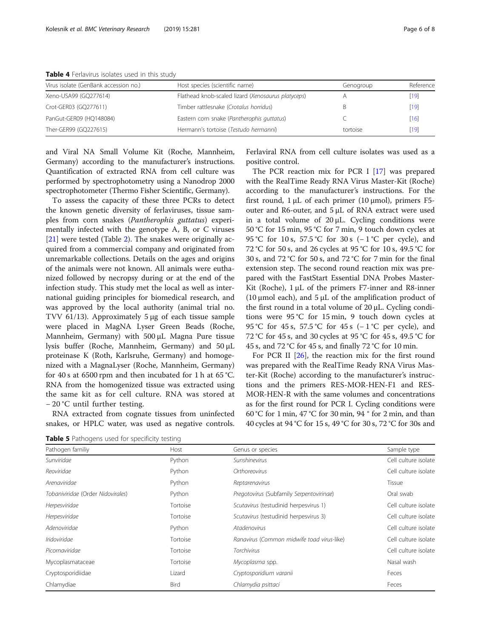| Virus isolate (GenBank accession no.) | Host species (scientific name)                     | Genogroup | Reference |
|---------------------------------------|----------------------------------------------------|-----------|-----------|
| Xeno-USA99 (GQ277614)                 | Flathead knob-scaled lizard (Xenosaurus platyceps) |           | [19]      |
| Crot-GER03 (GQ277611)                 | Timber rattlesnake (Crotalus horridus)             |           | [19]      |
| PanGut-GER09 (HQ148084)               | Eastern corn snake (Pantherophis guttatus)         |           | [16]      |
| Ther-GER99 (GQ227615)                 | Hermann's tortoise (Testudo hermanni)              | tortoise  | [19]      |

<span id="page-5-0"></span>Table 4 Ferlavirus isolates used in this study

and Viral NA Small Volume Kit (Roche, Mannheim, Germany) according to the manufacturer's instructions. Quantification of extracted RNA from cell culture was performed by spectrophotometry using a Nanodrop 2000 spectrophotometer (Thermo Fisher Scientific, Germany).

To assess the capacity of these three PCRs to detect the known genetic diversity of ferlaviruses, tissue samples from corn snakes (Pantherophis guttatus) experimentally infected with the genotype A, B, or C viruses [[21\]](#page-7-0) were tested (Table [2](#page-3-0)). The snakes were originally acquired from a commercial company and originated from unremarkable collections. Details on the ages and origins of the animals were not known. All animals were euthanized followed by necropsy during or at the end of the infection study. This study met the local as well as international guiding principles for biomedical research, and was approved by the local authority (animal trial no. TVV 61/13). Approximately 5 μg of each tissue sample were placed in MagNA Lyser Green Beads (Roche, Mannheim, Germany) with 500 μL Magna Pure tissue lysis buffer (Roche, Mannheim, Germany) and 50 μL proteinase K (Roth, Karlsruhe, Germany) and homogenized with a MagnaLyser (Roche, Mannheim, Germany) for 40 s at 6500 rpm and then incubated for 1 h at 65 °C. RNA from the homogenized tissue was extracted using the same kit as for cell culture. RNA was stored at − 20 °C until further testing.

RNA extracted from cognate tissues from uninfected snakes, or HPLC water, was used as negative controls.

| Table 5 Pathogens used for specificity testing |  |  |
|------------------------------------------------|--|--|
|------------------------------------------------|--|--|

Ferlaviral RNA from cell culture isolates was used as a positive control.

The PCR reaction mix for PCR I [[17\]](#page-7-0) was prepared with the RealTime Ready RNA Virus Master-Kit (Roche) according to the manufacturer's instructions. For the first round,  $1 \mu L$  of each primer (10  $\mu$ mol), primers F5outer and R6-outer, and 5 μL of RNA extract were used in a total volume of 20 μL. Cycling conditions were 50 °C for 15 min, 95 °C for 7 min, 9 touch down cycles at 95 °C for 10 s, 57.5 °C for 30 s (− 1 °C per cycle), and 72 °C for 50 s, and 26 cycles at 95 °C for 10 s, 49.5 °C for 30 s, and 72 °C for 50 s, and 72 °C for 7 min for the final extension step. The second round reaction mix was prepared with the FastStart Essential DNA Probes Master-Kit (Roche), 1 μL of the primers F7-inner and R8-inner (10  $\mu$ mol each), and 5  $\mu$ L of the amplification product of the first round in a total volume of 20 μL. Cycling conditions were 95 °C for 15 min, 9 touch down cycles at 95 °C for 45 s, 57.5 °C for 45 s (−1 °C per cycle), and 72 °C for 45 s, and 30 cycles at 95 °C for 45 s, 49.5 °C for 45 s, and 72 °C for 45 s, and finally 72 °C for 10 min.

For PCR II [\[26](#page-7-0)], the reaction mix for the first round was prepared with the RealTime Ready RNA Virus Master-Kit (Roche) according to the manufacturer's instructions and the primers RES-MOR-HEN-F1 and RES-MOR-HEN-R with the same volumes and concentrations as for the first round for PCR I. Cycling conditions were 60 °C for 1 min, 47 °C for 30 min, 94 ° for 2 min, and than 40 cycles at 94 °C for 15 s, 49 °C for 30 s, 72 °C for 30s and

| <b>Example 5</b> Fact to go to social to the specificity testing<br>Pathogen familiy | Host     | Genus or species                           | Sample type          |
|--------------------------------------------------------------------------------------|----------|--------------------------------------------|----------------------|
| Sunviridae                                                                           | Python   | <b>Sunshinevirus</b>                       | Cell culture isolate |
| Reoviridae                                                                           | Python   | <b>Orthoreovirus</b>                       | Cell culture isolate |
| Arenaviridae                                                                         | Python   | Reptarenavirus                             | Tissue               |
| Tobaniviridae (Order Nidovirales)                                                    | Python   | Pregotovirus (Subfamily Serpentovirinae)   | Oral swab            |
| Herpesviridae                                                                        | Tortoise | Scutavirus (testudinid herpesvirus 1)      | Cell culture isolate |
| Herpesviridae                                                                        | Tortoise | Scutavirus (testudinid herpesvirus 3)      | Cell culture isolate |
| Adenoviridae                                                                         | Python   | Atadenovirus                               | Cell culture isolate |
| <i>Iridoviridae</i>                                                                  | Tortoise | Ranavirus (Common midwife toad virus-like) | Cell culture isolate |
| Picornaviridae                                                                       | Tortoise | <b>Torchivirus</b>                         | Cell culture isolate |
| Mycoplasmataceae                                                                     | Tortoise | Mycoplasma spp.                            | Nasal wash           |
| Cryptosporidiidae                                                                    | Lizard   | Cryptosporidium varanii                    | Feces                |
| Chlamydiae                                                                           | Bird     | Chlamydia psittaci                         | Feces                |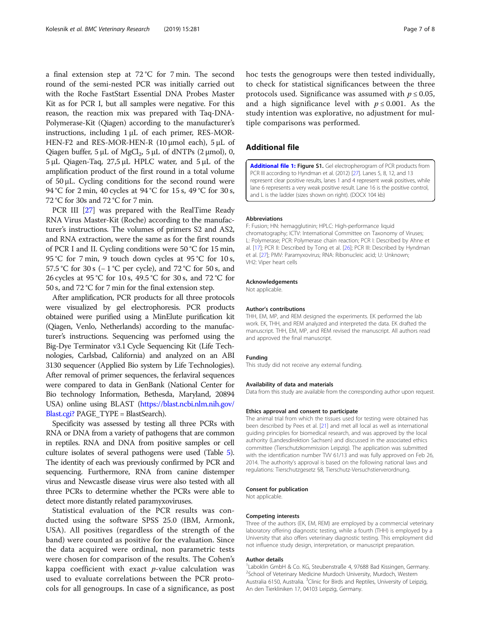<span id="page-6-0"></span>a final extension step at 72 °C for 7 min. The second round of the semi-nested PCR was initially carried out with the Roche FastStart Essential DNA Probes Master Kit as for PCR I, but all samples were negative. For this reason, the reaction mix was prepared with Taq-DNA-Polymerase-Kit (Qiagen) according to the manufacturer's instructions, including 1 μL of each primer, RES-MOR-HEN-F2 and RES-MOR-HEN-R (10 μmol each), 5 μL of Qiagen buffer,  $5 \mu L$  of MgCl<sub>2</sub>,  $5 \mu L$  of dNTPs (2  $\mu$ mol), 0, 5 μL Qiagen-Taq, 27,5 μL HPLC water, and 5 μL of the amplification product of the first round in a total volume of 50 μL. Cycling conditions for the second round were 94 °C for 2 min, 40 cycles at 94 °C for 15 s, 49 °C for 30 s, 72 °C for 30s and 72 °C for 7 min.

PCR III [\[27\]](#page-7-0) was prepared with the RealTime Ready RNA Virus Master-Kit (Roche) according to the manufacturer's instructions. The volumes of primers S2 and AS2, and RNA extraction, were the same as for the first rounds of PCR I and II. Cycling conditions were 50 °C for 15 min, 95 °C for 7 min, 9 touch down cycles at 95 °C for 10 s, 57.5 °C for 30 s (− 1 °C per cycle), and 72 °C for 50 s, and 26 cycles at 95 °C for 10 s, 49.5 °C for 30 s, and 72 °C for 50 s, and 72 °C for 7 min for the final extension step.

After amplification, PCR products for all three protocols were visualized by gel electrophoresis. PCR products obtained were purified using a MinElute purification kit (Qiagen, Venlo, Netherlands) according to the manufacturer's instructions. Sequencing was perfomed using the Big-Dye Terminator v3.1 Cycle Sequencing Kit (Life Technologies, Carlsbad, California) and analyzed on an ABI 3130 sequencer (Applied Bio system by Life Technologies). After removal of primer sequences, the ferlaviral sequences were compared to data in GenBank (National Center for Bio technology Information, Bethesda, Maryland, 20894 USA) online using BLAST ([https://blast.ncbi.nlm.nih.gov/](https://blast.ncbi.nlm.nih.gov/Blast.cgi?) [Blast.cgi?](https://blast.ncbi.nlm.nih.gov/Blast.cgi?) PAGE\_TYPE = BlastSearch).

Specificity was assessed by testing all three PCRs with RNA or DNA from a variety of pathogens that are common in reptiles. RNA and DNA from positive samples or cell culture isolates of several pathogens were used (Table [5](#page-5-0)). The identity of each was previously confirmed by PCR and sequencing. Furthermore, RNA from canine distemper virus and Newcastle disease virus were also tested with all three PCRs to determine whether the PCRs were able to detect more distantly related paramyxoviruses.

Statistical evaluation of the PCR results was conducted using the software SPSS 25.0 (IBM, Armonk, USA). All positives (regardless of the strength of the band) were counted as positive for the evaluation. Since the data acquired were ordinal, non parametric tests were chosen for comparison of the results. The Cohen's kappa coefficient with exact  $p$ -value calculation was used to evaluate correlations between the PCR protocols for all genogroups. In case of a significance, as post hoc tests the genogroups were then tested individually, to check for statistical significances between the three protocols used. Significance was assumed with  $p \leq 0.05$ , and a high significance level with  $p \le 0.001$ . As the study intention was explorative, no adjustment for multiple comparisons was performed.

# Additional file

[Additional file 1:](https://doi.org/10.1186/s12917-019-2028-0) Figure S1. Gel electropherogram of PCR products from PCR III according to Hyndman et al. (2012) [\[27](#page-7-0)]. Lanes 5, 8, 12, and 13 represent clear positive results, lanes 1 and 4 represent weak positives, while lane 6 represents a very weak positive result. Lane 16 is the positive control, and L is the ladder (sizes shown on right). (DOCX 104 kb)

### Abbreviations

F: Fusion; HN: hemagglutinin; HPLC: High-performance liquid chromatography; ICTV: International Committee on Taxonomy of Viruses; L: Polymerase; PCR: Polymerase chain reaction; PCR I: Described by Ahne et al. [\[17](#page-7-0)]; PCR II: Described by Tong et al. [\[26\]](#page-7-0); PCR III: Described by Hyndman et al. [\[27](#page-7-0)]; PMV: Paramyxovirus; RNA: Ribonucleic acid; U: Unknown; VH2: Viper heart cells

# Acknowledgements

Not applicable.

#### Author's contributions

THH, EM, MP, and REM designed the experiments. EK performed the lab work. EK, THH, and REM analyzed and interpreted the data. EK drafted the manuscript. THH, EM, MP, and REM revised the manuscript. All authors read and approved the final manuscript.

#### Funding

This study did not receive any external funding.

#### Availability of data and materials

Data from this study are available from the corresponding author upon request.

#### Ethics approval and consent to participate

The animal trial from which the tissues used for testing were obtained has been described by Pees et al. [[21\]](#page-7-0) and met all local as well as international guiding principles for biomedical research, and was approved by the local authority (Landesdirektion Sachsen) and discussed in the associated ethics committee (Tierschutzkommission Leipzig). The application was submitted with the identification number TVV 61/13 and was fully approved on Feb 26, 2014. The authority's approval is based on the following national laws and regulations: Tierschutzgesetz §8, Tierschutz-Versuchstierverordnung.

#### Consent for publication

Not applicable.

#### Competing interests

Three of the authors (EK, EM, REM) are employed by a commercial veterinary laboratory offering diagnostic testing, while a fourth (THH) is employed by a University that also offers veterinary diagnostic testing. This employment did not influence study design, interpretation, or manuscript preparation.

#### Author details

<sup>1</sup> Laboklin GmbH & Co. KG, Steubenstraße 4, 97688 Bad Kissingen, Germany. <sup>2</sup>School of Veterinary Medicine Murdoch University, Murdoch, Western Australia 6150, Australia. <sup>3</sup>Clinic for Birds and Reptiles, University of Leipzig An den Tierkliniken 17, 04103 Leipzig, Germany.